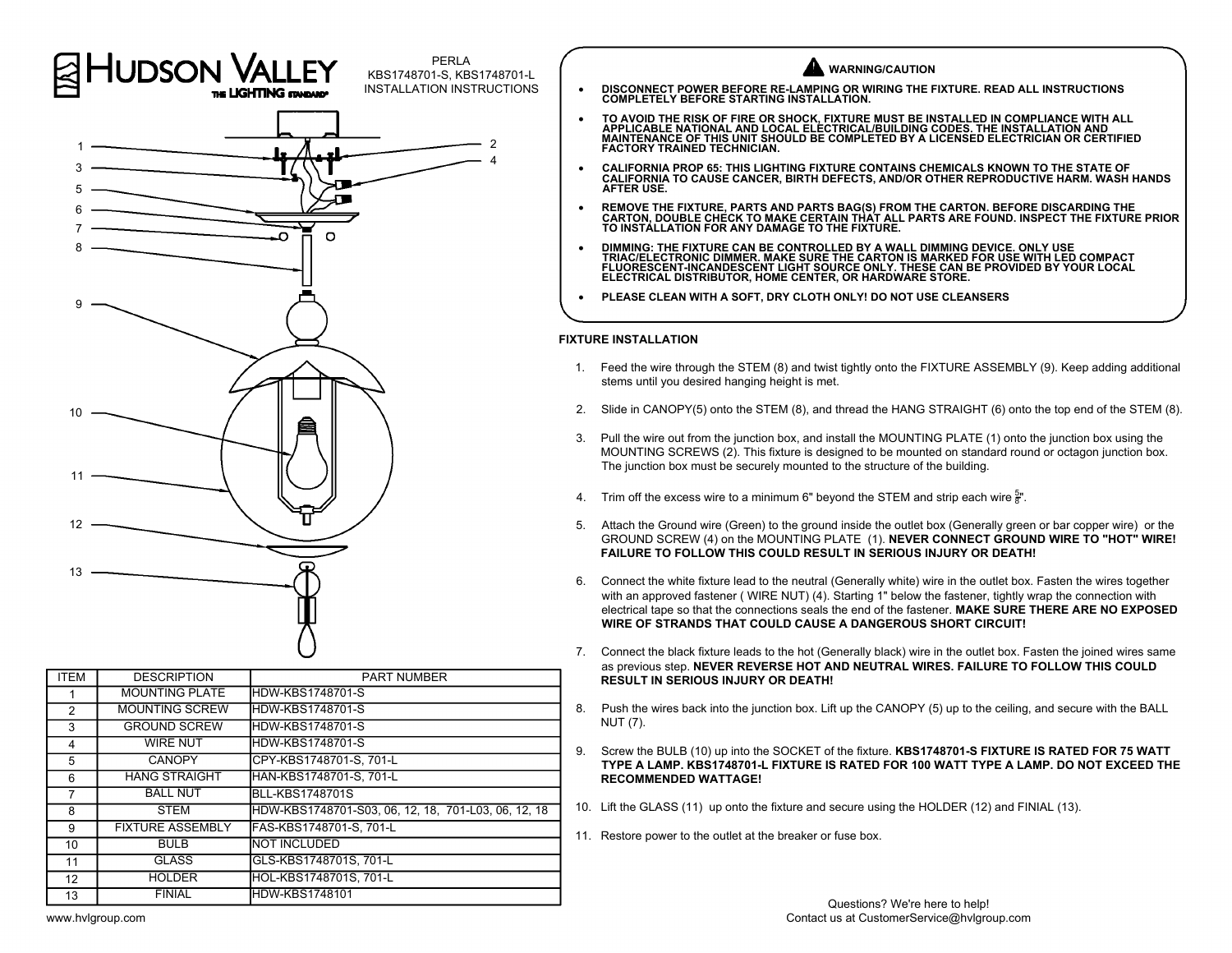

| <b>ITEM</b>    | <b>DESCRIPTION</b>      | <b>PART NUMBER</b>                                  |                 |  |
|----------------|-------------------------|-----------------------------------------------------|-----------------|--|
|                | <b>MOUNTING PLATE</b>   | <b>HDW-KBS1748701-S</b>                             |                 |  |
| $\mathfrak{p}$ | <b>MOUNTING SCREW</b>   | <b>HDW-KBS1748701-S</b>                             | 8.              |  |
| 3              | <b>GROUND SCREW</b>     | <b>HDW-KBS1748701-S</b>                             |                 |  |
| 4              | <b>WIRE NUT</b>         | <b>HDW-KBS1748701-S</b>                             | 9.              |  |
| 5              | <b>CANOPY</b>           | CPY-KBS1748701-S, 701-L                             |                 |  |
| 6              | <b>HANG STRAIGHT</b>    | HAN-KBS1748701-S, 701-L                             |                 |  |
| 7              | <b>BALL NUT</b>         | <b>BLL-KBS1748701S</b>                              |                 |  |
| 8              | <b>STEM</b>             | HDW-KBS1748701-S03, 06, 12, 18, 701-L03, 06, 12, 18 | 10 <sub>1</sub> |  |
| 9              | <b>FIXTURE ASSEMBLY</b> | FAS-KBS1748701-S, 701-L                             | 11.             |  |
| 10             | <b>BULB</b>             | <b>NOT INCLUDED</b>                                 |                 |  |
| 11             | <b>GLASS</b>            | GLS-KBS1748701S, 701-L                              |                 |  |
| 12             | <b>HOLDER</b>           | HOL-KBS1748701S, 701-L                              |                 |  |
| 13             | <b>FINIAL</b>           | <b>HDW-KBS1748101</b>                               |                 |  |

## **WARNING/CAUTION**

- · **DISCONNECT POWER BEFORE RE-LAMPING OR WIRING THE FIXTURE. READ ALL INSTRUCTIONS COMPLETELY BEFORE STARTING INSTALLATION.**
- TO AVOID THE RISK OF FIRE OR SHOCK, FIXTURE MUST BE INSTALLED IN COMPLIANCE WITH ALL<br>APPLICABLE NATIONAL AND LOCAL ELECTRICAL/BUILDING CODES. THE INSTALLATION AND<br>MAINTENANCE OF THIS UNIT SHOULD BE COMPLETED BY A **FACTORY TRAINED TECHNICIAN.**
- · **CALIFORNIA PROP 65: THIS LIGHTING FIXTURE CONTAINS CHEMICALS KNOWN TO THE STATE OF CALIFORNIA TO CAUSE CANCER, BIRTH DEFECTS, AND/OR OTHER REPRODUCTIVE HARM. WASH HANDS AFTER USE.**
- · **REMOVE THE FIXTURE, PARTS AND PARTS BAG(S) FROM THE CARTON. BEFORE DISCARDING THE CARTON, DOUBLE CHECK TO MAKE CERTAIN THAT ALL PARTS ARE FOUND. INSPECT THE FIXTURE PRIOR TO INSTALLATION FOR ANY DAMAGE TO THE FIXTURE.**
- DIMMING: THE FIXTURE CAN BE CONTROLLED BY A WALL DIMMING DEVICE. ONLY USE<br>TRIAC/ELECTRONIC DIMMER. MAKE SURE THE CARTON IS MARKED FOR USE WITH LED COMPACT<br>FLUORESCENT-INCANDESCENT LIGHT SOURCE ONLY. THESE CAN BE PROVIDED **ELECTRICAL DISTRIBUTOR, HOME CENTER, OR HARDWARE STORE.**
- · **PLEASE CLEAN WITH A SOFT, DRY CLOTH ONLY! DO NOT USE CLEANSERS**

## **FIXTURE INSTALLATION**

- 1. Feed the wire through the STEM (8) and twist tightly onto the FIXTURE ASSEMBLY (9). Keep adding additional stems until you desired hanging height is met. 2. Slide in CANOPY(5) onto the STEM (8) and twist tightly onto the FIXTURE ASSEMBLY (9). Keep adding additional stems until you desired hanging height is met.<br>2. Slide in CANOPY(5) onto the STEM (8), and thread the HANG S
- 
- 3. Pull the wire through the STEM (8) and twist tightly onto the FIXTURE ASSEMBLY (9). Reep adding additional<br>3. Slide in CANOPY(5) onto the STEM (8), and thread the HANG STRAIGHT (6) onto the top end of the STEM (8).<br>3. P MOUNTING SCREWS (2). This fixture is designed to be mounted on standard round or octagon junction box. The junction box must be securely mounted to the structure of the building. 4. Trim off the excess wire to a minimum 6" beyond the STEM and strip each wire  $\frac{1}{8}$ ".<br>4. Trim off the excess wire to a minimum 6" beyond the STEM and strip each wire  $\frac{5}{8}$ ".
- $\frac{5}{8}$ ".
- The junction box must be securely mounted to the structure of the building.<br>The junction box must be securely mounted to the structure of the building.<br>4. Trim off the excess wire to a minimum 6" beyond the STEM and strip **FAILURE TO FOLLOW THIS COULD RESULT IN SERIOUS INJURY OR DEATH!** 6. Connect the Wire (Green) to the ground inside the outlet box (Generally green or bar copper wire) or the<br>GROUND SCREW (4) on the MOUNTING PLATE (1). **NEVER CONNECT GROUND WIRE TO "HOT" WIRE!**<br>FAILURE TO FOLLOW THIS COUL
- o. Connect the white fixture lead to the neutral (Generally white) wire in the outlet box. Fasten the wires together with an approved fastener, (WIRE NUT) (4). Starting 1" below the fastener, tightly wrap the connection wi electrical tape so that the connections seals the end of the fastener. **MAKE SURE THERE ARE NO EXPOSED WIRE OF STRANDS THAT COULD CAUSE A DANGEROUS SHORT CIRCUIT!**
- as previous step. **NEVER REVERSE HOT AND NEUTRAL WIRES. FAILURE TO FOLLOW THIS COULD RESULT IN SERIOUS INJURY OR DEATH!** 8. Push the wires back into the junction box. Lift up the CANOPY (5) up to the ceiling, and secure with the BALL<br>8. Push the wires back into the junction box. Lift up the CANOPY (5) up to the ceiling, and secure with the B
- NUT (7).
- PUT IN SERIOUS INJURY OR DEATH!<br>
19. Push the wires back into the junction box. Lift up the CANOPY (5) up to the ceiling, and secure with the BALL<br>
NUT (7).<br>
9. Screw the BULB (10) up into the SOCKET of the fixture. **KBS17 TYPE A LAMP. KBS1748701-L FIXTURE IS RATED FOR 100 WATT TYPE A LAMP. DO NOT EXCEED THE RECOMMENDED WATTAGE!** 9. Screw the BULB (10) up into the SOCKET of the fixture. KBS1748701-S FIXTURE IS RATED FOR TYPE A LAMP. NO NOT<br>TYPE A LAMP. KBS1748701-L FIXTURE IS RATED FOR 100 WATT TYPE A LAMP. DO NOT<br>RECOMMENDED WATTAGE!<br>10. Lift the
- 10. Lift the GLASS (11) up onto the fixture and secure using the HOLDER (12) and FINIAL (13).<br>11. Restore power to the outlet at the breaker or fuse box.
	-